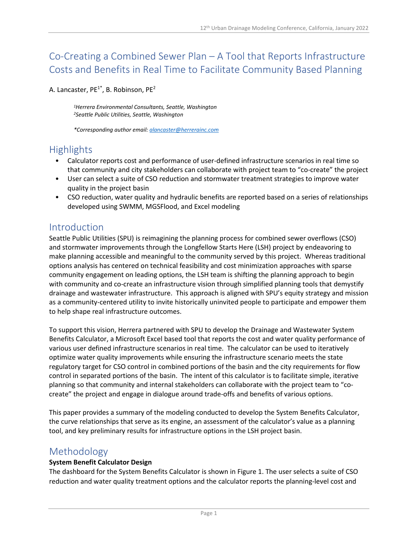# Co-Creating a Combined Sewer Plan – A Tool that Reports Infrastructure Costs and Benefits in Real Time to Facilitate Community Based Planning

A. Lancaster,  $PE^{1*}$ , B. Robinson,  $PE^{2}$ 

*1Herrera Environmental Consultants, Seattle, Washington 2Seattle Public Utilities, Seattle, Washington*

*\*Corresponding author email: [alancaster@herrerainc.com](mailto:alancaster@herrerainc.com)*

## Highlights

- Calculator reports cost and performance of user-defined infrastructure scenarios in real time so that community and city stakeholders can collaborate with project team to "co-create" the project
- User can select a suite of CSO reduction and stormwater treatment strategies to improve water quality in the project basin
- CSO reduction, water quality and hydraulic benefits are reported based on a series of relationships developed using SWMM, MGSFlood, and Excel modeling

### Introduction

Seattle Public Utilities (SPU) is reimagining the planning process for combined sewer overflows (CSO) and stormwater improvements through the Longfellow Starts Here (LSH) project by endeavoring to make planning accessible and meaningful to the community served by this project. Whereas traditional options analysis has centered on technical feasibility and cost minimization approaches with sparse community engagement on leading options, the LSH team is shifting the planning approach to begin with community and co-create an infrastructure vision through simplified planning tools that demystify drainage and wastewater infrastructure. This approach is aligned with SPU's equity strategy and mission as a community-centered utility to invite historically uninvited people to participate and empower them to help shape real infrastructure outcomes.

To support this vision, Herrera partnered with SPU to develop the Drainage and Wastewater System Benefits Calculator, a Microsoft Excel based tool that reports the cost and water quality performance of various user defined infrastructure scenarios in real time. The calculator can be used to iteratively optimize water quality improvements while ensuring the infrastructure scenario meets the state regulatory target for CSO control in combined portions of the basin and the city requirements for flow control in separated portions of the basin. The intent of this calculator is to facilitate simple, iterative planning so that community and internal stakeholders can collaborate with the project team to "cocreate" the project and engage in dialogue around trade-offs and benefits of various options.

This paper provides a summary of the modeling conducted to develop the System Benefits Calculator, the curve relationships that serve as its engine, an assessment of the calculator's value as a planning tool, and key preliminary results for infrastructure options in the LSH project basin.

### Methodology

#### **System Benefit Calculator Design**

The dashboard for the System Benefits Calculator is shown in Figure 1. The user selects a suite of CSO reduction and water quality treatment options and the calculator reports the planning-level cost and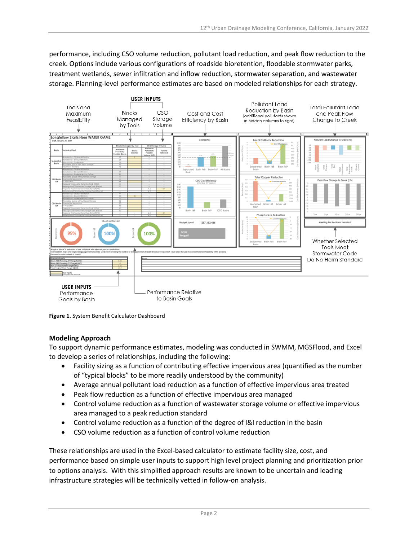performance, including CSO volume reduction, pollutant load reduction, and peak flow reduction to the creek. Options include various configurations of roadside bioretention, floodable stormwater parks, treatment wetlands, sewer infiltration and inflow reduction, stormwater separation, and wastewater storage. Planning-level performance estimates are based on modeled relationships for each strategy.



**Figure 1.** System Benefit Calculator Dashboard

#### **Modeling Approach**

To support dynamic performance estimates, modeling was conducted in SWMM, MGSFlood, and Excel to develop a series of relationships, including the following:

- Facility sizing as a function of contributing effective impervious area (quantified as the number of "typical blocks" to be more readily understood by the community)
- Average annual pollutant load reduction as a function of effective impervious area treated
- Peak flow reduction as a function of effective impervious area managed
- Control volume reduction as a function of wastewater storage volume or effective impervious area managed to a peak reduction standard
- Control volume reduction as a function of the degree of I&I reduction in the basin
- CSO volume reduction as a function of control volume reduction

These relationships are used in the Excel-based calculator to estimate facility size, cost, and performance based on simple user inputs to support high level project planning and prioritization prior to options analysis. With this simplified approach results are known to be uncertain and leading infrastructure strategies will be technically vetted in follow-on analysis.